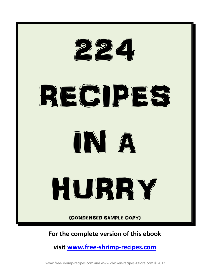

#### **For the complete version of this ebook**

**visit [www.free-shrimp-recipes.com](http://www.free-shrimp-recipes.com/cookbooks.html)**

www.free-shrimp-recipes.com and www.chicken-recipes-galore.com ©2012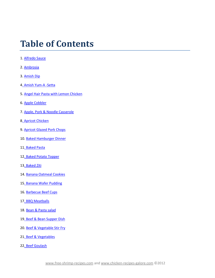#### **Table of Contents**

- 1[. Alfredo Sauce](#page-10-0)
- 2[. Ambrosia](#page-10-1)
- 3[. Amish Dip](#page-11-0)
- 4. Amish Yum-A -Setta
- 5. Angel Hair Pasta with Lemon Chicken
- 6. Apple Cobbler
- 7. Apple, Pork & Noodle Casserole
- 8. Apricot Chicken
- 9. Apricot Glazed Pork Chops
- 10. [Baked Hamburger Dinner](#page-12-0)
- 1[1. Baked Pasta](#page-12-1)
- 1[2. Baked Potato Topper](#page-13-0)
- 1[3. Baked Ziti](#page-13-0)
- 14. Banana Oatmeal Cookies
- 15. Banana Wafer Pudding
- 16. Barbecue Beef Cups
- 17. BBQ Meatballs
- 18. Bean & Pasta salad
- 19. Beef & Bean Supper Dish
- 20. Beef & Vegetable Stir Fry
- 2[1. Beef & Vegetables](#page-14-0)
- 22. Beef Goulash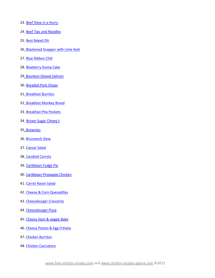- 23. Beef Stew in a Hurry
- 24. Beef Tips and Noodles
- 25. Best Baked Ziti
- 26. Blackened Snapper with Lime Aioli
- 27. Blue Ribbon Chili
- 28. Blueberry Dump Cake
- 2[9. Bourbon Glazed Salmon](#page-15-0)
- 30. [Breaded Pork Chops](#page-15-1)
- 3[1. Breakfast Burritos](#page-16-0)
- 32. Breakfast Monkey Bread
- 33. Breakfast Pita Pockets
- 34. Brown Sugar Chewy's
- 35. Brownies
- 36. Brunswick Stew
- 37. Caesar Salad
- 38. Candied Carrots
- 39. Caribbean Fudge Pie
- 40. Caribbean Pineapple Chicken
- 41. Carrot Raisin Salad
- 42. Cheese & Corn Quesadillas
- 43. Cheeseburger Crescents
- 44. Cheeseburger Pizza
- 45. Cheesy Ham & veggie Bake
- 46. Cheesy Potato & Egg Frittata
- 47. [Chicken Burritos](#page-17-0)
- 48. Chicken Cacciatore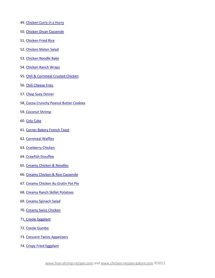- 49. Chicken Curry in a Hurry
- 50. Chicken Divan Casserole
- 51. Chicken Fried Rice
- 52. [Chicken Melon Salad](#page-18-0)
- 53. [Chicken Noodle Bake](#page-19-0)
- 54. [Chicken Ranch Wraps](#page-20-0)
- 55. Chili & Cornmeal Crusted Chicken
- 56. Chili Cheese Fries
- 57. Chop Suey Dinner
- 58. Cocoa Crunchy Peanut Butter Cookies
- 59. Coconut Shrimp
- 60. Cola Cake
- 61. Corner Bakery French Toast
- 62. Cornmeal Waffles
- 63. Cranberry Chicken
- 64. Crawfish Etouffee
- 65. Creamy Chicken & Noodles
- 66. Creamy Chicken & Rice Casserole
- 67. Creamy Chicken Au Gratin Pot Pie
- 68. Creamy Ranch Skillet Potatoes
- 69. Creamy Spinach Salad
- 70. Creamy Swiss Chicken
- 71. Creole Eggplant
- 72. Creole Gumbo
- 73. Crescent Twists Appetizers
- 74. Crispy Fried Eggplant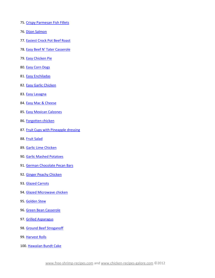- 75. Crispy Parmesan Fish Fillets
- 76. Dijon Salmon
- 77. Easiest Crock Pot Beef Roast
- 78. [Easy Beef N' Tater Casserole](#page-21-0)
- 79. Easy Chicken Pie
- 80. [Easy Corn Dogs](#page-22-0)
- 81. [Easy Enchiladas](#page-22-1)
- 82. [Easy Garlic Chicken](#page-23-0)
- 83. Easy Lasagna
- 84. Easy Mac & Cheese
- 85. Easy Mexican Calzones
- 86. Forgotten chicken
- 87. Fruit Cups with Pineapple dressing
- 88. Fruit Salad
- 89. Garlic Lime Chicken
- 90. [Garlic Mashed Potatoes](#page-24-0)
- 91. [German Chocolate Pecan Bars](#page-25-0)
- 92. Ginger Peachy Chicken
- 93. Glazed Carrots
- 94. Glazed Microwave chicken
- 95. Golden Stew
- 96. Green Bean Casserole
- 97. Grilled Asparagus
- 98. Ground Beef Stroganoff
- 99. Harvest Rolls
- 100. Hawaiian Bundt Cake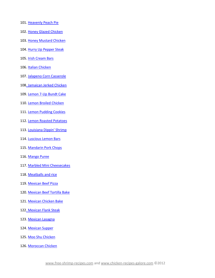- 101[. Heavenly Peach Pie](#page-26-0)
- 102. Honey Glazed Chicken
- 103. Honey Mustard Chicken
- 104. Hurry Up Pepper Steak
- 105. Irish Cream Bars
- 106. Italian Chicken
- 107. Jalapeno Corn Casserole
- 108. Jamaican Jerked Chicken
- 109. Lemon 7-Up Bundt Cake
- 110. Lemon Broiled Chicken
- 111. Lemon Pudding Cookies
- 112. Lemon Roasted Potatoes
- 113. Louisiana Dippin' Shrimp
- 114. Luscious Lemon Bars
- 115. Mandarin Pork Chops
- 116. Mango Puree
- 117. Marbled Mini Cheesecakes
- 118[. Meatballs and rice](#page-27-0)
- 119. Mexican Beef Pizza
- 120. Mexican Beef Tortilla Bake
- 121. Mexican Chicken Bake
- 122. Mexican Flank Steak
- 123. Mexican Lasagna
- 124. Mexican Supper
- 125. Moo Shu Chicken
- 126. Moroccan Chicken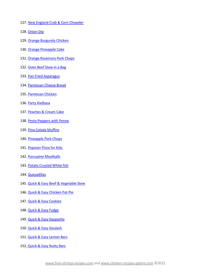- 127. New England Crab & Corn Chowder
- 128. Onion Dip
- 129. Orange Burgundy Chicken
- 130. Orange Pineapple Cake
- 131. Orange Rosemary Pork Chops
- 132. Oven Beef Stew in a Bag
- 133. Pan Fried Asparagus
- 134. Parmesan Cheese Bread
- 135. Parmesan Chicken
- 136. Party Kielbasa
- 137. Peaches & Cream Cake
- 138. Pesto Peppers with Penne
- 139. Pina Colada Muffins
- 140[. Pineapple Pork Chops](#page-28-0)
- 141. Popover Pizza for Kids
- 142. Porcupine Meatballs
- 143. Potato Crusted White fish
- 144. Quesadillas
- 145. Quick & Easy Beef & Vegetable Stew
- 146. Quick & Easy Chicken Pot Pie
- 147. Quick & Easy Cookies
- 148[. Quick & Easy Fudge](#page-29-0)
- 149. Quick & Easy Gazpacho
- 150. Quick & Easy Goulash
- 151. Quick & Easy Lemon Bars
- 152. Quick & Easy Nutty Bars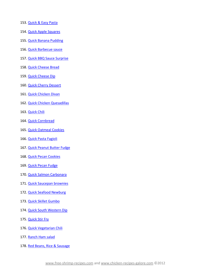- 153. Quick & Easy Pasta
- 154[. Quick Apple Squares](#page-30-0)
- 155. Quick Banana Pudding
- 156. Quick Barbecue sauce
- 157. Quick BBQ Sauce Surprise
- 158. Quick Cheese Bread
- 159. Quick Cheese Dip
- 160. Quick Cherry Dessert
- 161. Quick Chicken Divan
- 162. Quick Chicken Quesadillas
- 163. Quick Chili
- 164. Quick Cornbread
- 165. Quick Oatmeal Cookies
- 166. Quick Pasta Fagioli
- 167[. Quick Peanut Butter Fudge](#page-31-0)
- 168[. Quick Pecan Cookies](#page-31-1)
- 169. Quick Pecan Fudge
- 170. Quick Salmon Carbonara
- 171. Quick Saucepan brownies
- 172. Quick Seafood Newburg
- 173. Quick Skillet Gumbo
- 174. Quick South Western Dip
- 175. Quick Stir Fry
- 176[. Quick Vegetarian Chili](#page-32-0)
- 177. Ranch Ham salad
- 178. Red Beans, Rice & Sausage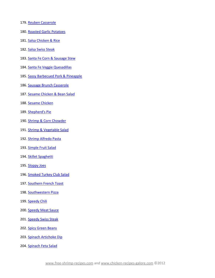- 179. Reuben Casserole
- 180. Roasted Garlic Potatoes
- 181. Salsa Chicken & Rice
- 182. Salsa Swiss Steak
- 183. Santa Fe Corn & Sausage Stew
- 184[. Santa Fe Veggie Quesadillas](#page-33-0)
- 185. Sassy Barbecued Pork & Pineapple
- 186. Sausage Brunch Casserole
- 187. Sesame Chicken & Bean Salad
- 188[. Sesame Chicken](#page-34-0)
- 189[. Shepherd's Pie](#page-35-0)
- 190. Shrimp & Corn Chowder
- 191[. Shrimp & Vegetable Salad](#page-36-0)
- 192. Shrimp Alfredo Pasta
- 193. Simple Fruit Salad
- 194. Skillet Spaghetti
- 195[. Sloppy Joes](#page-37-0)
- 196[. Smoked Turkey Club Salad](#page-37-1)
- 197. Southern French Toast
- 198. Southwestern Pizza
- 199. Speedy Chili
- 200. Speedy Meat Sauce
- 201. Speedy Swiss Steak
- 202. Spicy Green Beans
- 203. Spinach Artichoke Dip
- 204. Spinach Feta Salad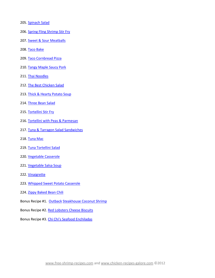- 205. Spinach Salad
- 206. Spring Fling Shrimp Stir Fry
- 207. Sweet & Sour Meatballs
- 208[. Taco Bake](#page-38-0)
- 209. Taco Cornbread Pizza
- 210. Tangy Maple Saucy Pork
- 211. Thai Noodles
- 212[. The Best Chicken Salad](#page-39-0)
- 213. Thick & Hearty Potato Soup
- 214. Three Bean Salad
- 215. Tortellini Stir Fry
- 216. Tortellini with Peas & Parmesan
- 217. Tuna & Tarragon Salad Sandwiches
- 218. Tuna Mac
- 219. Tuna Tortellini Salad
- 220[. Vegetable Casserole](#page-39-1)
- 221. Vegetable Salsa Soup
- 222. Vinaigrette
- 223. Whipped Sweet Potato Casserole
- 224. Zippy Baked Bean Chili
- Bonus Recipe #1. Outback Steakhouse Coconut Shrimp
- Bonus Recipe #2. Red Lobsters Cheese Biscuits
- Bonus Recipe #3. Chi Chi's Seafood Enchiladas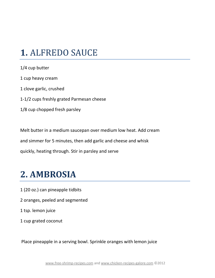#### <span id="page-10-0"></span>**1.** ALFREDO SAUCE

1/4 cup butter 1 cup heavy cream 1 clove garlic, crushed 1-1/2 cups freshly grated Parmesan cheese 1/8 cup chopped fresh parsley

Melt butter in a medium saucepan over medium low heat. Add cream and simmer for 5 minutes, then add garlic and cheese and whisk quickly, heating through. Stir in parsley and serve

#### <span id="page-10-1"></span>**2. AMBROSIA**

- 1 (20 oz.) can pineapple tidbits
- 2 oranges, peeled and segmented
- 1 tsp. lemon juice
- 1 cup grated coconut

Place pineapple in a serving bowl. Sprinkle oranges with lemon juice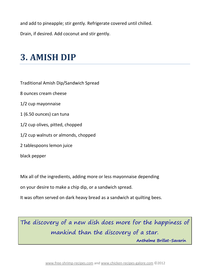and add to pineapple; stir gently. Refrigerate covered until chilled.

Drain, if desired. Add coconut and stir gently.

#### <span id="page-11-0"></span>**3. AMISH DIP**

Traditional Amish Dip/Sandwich Spread

8 ounces cream cheese

1/2 cup mayonnaise

- 1 (6.50 ounces) can tuna
- 1/2 cup olives, pitted, chopped
- 1/2 cup walnuts or almonds, chopped
- 2 tablespoons lemon juice

black pepper

Mix all of the ingredients, adding more or less mayonnaise depending

on your desire to make a chip dip, or a sandwich spread.

It was often served on dark heavy bread as a sandwich at quilting bees.

The discovery of a new dish does more for the happiness of mankind than the discovery of a star.

 **Anthelme Brillat-Savarin**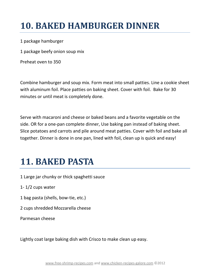### <span id="page-12-0"></span>**10. BAKED HAMBURGER DINNER**

1 package hamburger

1 package beefy onion soup mix

Preheat oven to 350

Combine hamburger and soup mix. Form meat into small patties. Line a cookie sheet with aluminum foil. Place patties on baking sheet. Cover with foil. Bake for 30 minutes or until meat is completely done.

Serve with macaroni and cheese or baked beans and a favorite vegetable on the side. OR for a one-pan complete dinner, Use baking pan instead of baking sheet. Slice potatoes and carrots and pile around meat patties. Cover with foil and bake all together. Dinner is done in one pan, lined with foil, clean up is quick and easy!

#### <span id="page-12-1"></span>**11. BAKED PASTA**

1 Large jar chunky or thick spaghetti sauce

1- 1/2 cups water

1 bag pasta (shells, bow-tie, etc.)

2 cups shredded Mozzarella cheese

Parmesan cheese

Lightly coat large baking dish with Crisco to make clean up easy.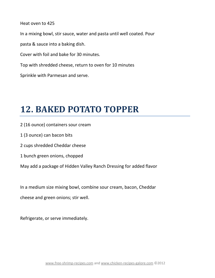Heat oven to 425 In a mixing bowl, stir sauce, water and pasta until well coated. Pour pasta & sauce into a baking dish. Cover with foil and bake for 30 minutes. Top with shredded cheese, return to oven for 10 minutes Sprinkle with Parmesan and serve.

## <span id="page-13-0"></span>**12. BAKED POTATO TOPPER**

- 2 (16 ounce) containers sour cream
- 1 (3 ounce) can bacon bits
- 2 cups shredded Cheddar cheese
- 1 bunch green onions, chopped
- May add a package of Hidden Valley Ranch Dressing for added flavor

In a medium size mixing bowl, combine sour cream, bacon, Cheddar

cheese and green onions; stir well.

Refrigerate, or serve immediately.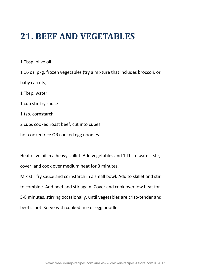#### <span id="page-14-0"></span>**21. BEEF AND VEGETABLES**

1 Tbsp. olive oil 1 16 oz. pkg. frozen vegetables (try a mixture that includes broccoli, or baby carrots) 1 Tbsp. water 1 cup stir-fry sauce 1 tsp. cornstarch 2 cups cooked roast beef, cut into cubes hot cooked rice OR cooked egg noodles

Heat olive oil in a heavy skillet. Add vegetables and 1 Tbsp. water. Stir, cover, and cook over medium heat for 3 minutes. Mix stir fry sauce and cornstarch in a small bowl. Add to skillet and stir to combine. Add beef and stir again. Cover and cook over low heat for 5-8 minutes, stirring occasionally, until vegetables are crisp-tender and beef is hot. Serve with cooked rice or egg noodles.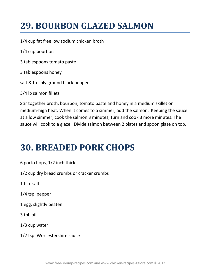## <span id="page-15-0"></span>**29. BOURBON GLAZED SALMON**

1/4 cup fat free low sodium chicken broth

1/4 cup bourbon

- 3 tablespoons tomato paste
- 3 tablespoons honey
- salt & freshly ground black pepper

3/4 lb salmon fillets

Stir together broth, bourbon, tomato paste and honey in a medium skillet on medium-high heat. When it comes to a simmer, add the salmon. Keeping the sauce at a low simmer, cook the salmon 3 minutes; turn and cook 3 more minutes. The sauce will cook to a glaze. Divide salmon between 2 plates and spoon glaze on top.

#### <span id="page-15-1"></span>**30. BREADED PORK CHOPS**

6 pork chops, 1/2 inch thick

1/2 cup dry bread crumbs or cracker crumbs

1 tsp. salt

1/4 tsp. pepper

1 egg, slightly beaten

3 tbl. oil

1/3 cup water

1/2 tsp. Worcestershire sauce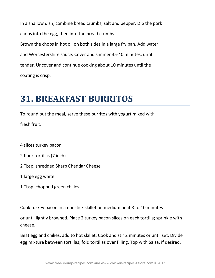In a shallow dish, combine bread crumbs, salt and pepper. Dip the pork chops into the egg, then into the bread crumbs.

Brown the chops in hot oil on both sides in a large fry pan. Add water and Worcestershire sauce. Cover and simmer 35-40 minutes, until tender. Uncover and continue cooking about 10 minutes until the coating is crisp.

## <span id="page-16-0"></span>**31. BREAKFAST BURRITOS**

To round out the meal, serve these burritos with yogurt mixed with fresh fruit.

4 slices turkey bacon

2 flour tortillas (7 inch)

2 Tbsp. shredded Sharp Cheddar Cheese

1 large egg white

1 Tbsp. chopped green chilies

Cook turkey bacon in a nonstick skillet on medium heat 8 to 10 minutes

or until lightly browned. Place 2 turkey bacon slices on each tortilla; sprinkle with cheese.

Beat egg and chilies; add to hot skillet. Cook and stir 2 minutes or until set. Divide egg mixture between tortillas; fold tortillas over filling. Top with Salsa, if desired.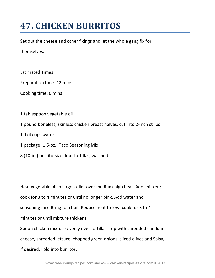## <span id="page-17-0"></span>**47. CHICKEN BURRITOS**

Set out the cheese and other fixings and let the whole gang fix for

themselves.

Estimated Times

Preparation time: 12 mins

Cooking time: 6 mins

- 1 tablespoon vegetable oil
- 1 pound boneless, skinless chicken breast halves, cut into 2-inch strips

1-1/4 cups water

1 package (1.5-oz.) Taco Seasoning Mix

8 (10-in.) burrito-size flour tortillas, warmed

Heat vegetable oil in large skillet over medium-high heat. Add chicken; cook for 3 to 4 minutes or until no longer pink. Add water and seasoning mix. Bring to a boil. Reduce heat to low; cook for 3 to 4 minutes or until mixture thickens.

Spoon chicken mixture evenly over tortillas. Top with shredded cheddar cheese, shredded lettuce, chopped green onions, sliced olives and Salsa, if desired. Fold into burritos.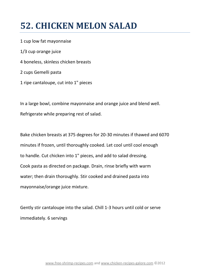#### <span id="page-18-0"></span>**52. CHICKEN MELON SALAD**

1 cup low fat mayonnaise 1/3 cup orange juice 4 boneless, skinless chicken breasts 2 cups Gemelli pasta 1 ripe cantaloupe, cut into 1" pieces

In a large bowl, combine mayonnaise and orange juice and blend well. Refrigerate while preparing rest of salad.

Bake chicken breasts at 375 degrees for 20-30 minutes if thawed and 6070 minutes if frozen, until thoroughly cooked. Let cool until cool enough to handle. Cut chicken into 1" pieces, and add to salad dressing. Cook pasta as directed on package. Drain, rinse briefly with warm water; then drain thoroughly. Stir cooked and drained pasta into mayonnaise/orange juice mixture.

Gently stir cantaloupe into the salad. Chill 1-3 hours until cold or serve immediately. 6 servings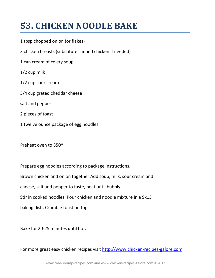## <span id="page-19-0"></span>**53. CHICKEN NOODLE BAKE**

- 1 tbsp chopped onion (or flakes)
- 3 chicken breasts (substitute canned chicken if needed)
- 1 can cream of celery soup
- 1/2 cup milk
- 1/2 cup sour cream
- 3/4 cup grated cheddar cheese
- salt and pepper
- 2 pieces of toast
- 1 twelve ounce package of egg noodles

Preheat oven to 350\*

Prepare egg noodles according to package instructions. Brown chicken and onion together Add soup, milk, sour cream and cheese, salt and pepper to taste, heat until bubbly Stir in cooked noodles. Pour chicken and noodle mixture in a 9x13 baking dish. Crumble toast on top.

Bake for 20-25 minutes until hot.

For more great easy chicken recipes visit [http://www.chicken-recipes-galore.com](http://www.chicken-recipes-galore.com/easy-chicken-recipes.html)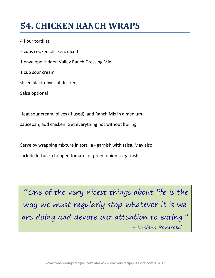### <span id="page-20-0"></span>**54. CHICKEN RANCH WRAPS**

4 flour tortillas 2 cups cooked chicken, diced 1 envelope Hidden Valley Ranch Dressing Mix 1 cup sour cream sliced black olives, if desired Salsa optional

Heat sour cream, olives (if used), and Ranch Mix in a medium saucepan; add chicken. Get everything hot without boiling.

Serve by wrapping mixture in tortilla - garnish with salsa. May also include lettuce, chopped tomato, or green onion as garnish.

"One of the very nicest things about life is the way we must regularly stop whatever it is we are doing and devote our attention to eating." - Luciano Pavarotti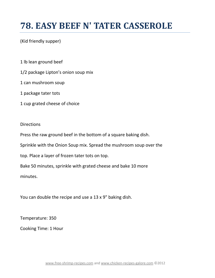#### <span id="page-21-0"></span>**78. EASY BEEF N' TATER CASSEROLE**

#### (Kid friendly supper)

1 lb lean ground beef

- 1/2 package Lipton's onion soup mix
- 1 can mushroom soup
- 1 package tater tots
- 1 cup grated cheese of choice

#### **Directions**

Press the raw ground beef in the bottom of a square baking dish.

Sprinkle with the Onion Soup mix. Spread the mushroom soup over the

top. Place a layer of frozen tater tots on top.

Bake 50 minutes, sprinkle with grated cheese and bake 10 more

minutes.

You can double the recipe and use a 13 x 9" baking dish.

Temperature: 350

Cooking Time: 1 Hour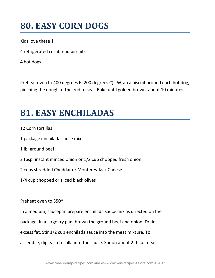#### <span id="page-22-0"></span>**80. EASY CORN DOGS**

Kids love these!!

4 refrigerated cornbread biscuits

4 hot dogs

Preheat oven to 400 degrees F (200 degrees C). Wrap a biscuit around each hot dog, pinching the dough at the end to seal. Bake until golden brown, about 10 minutes.

## <span id="page-22-1"></span>**81. EASY ENCHILADAS**

- 12 Corn tortillas
- 1 package enchilada sauce mix
- 1 lb. ground beef
- 2 tbsp. instant minced onion or 1/2 cup chopped fresh onion
- 2 cups shredded Cheddar or Monterey Jack Cheese
- 1/4 cup chopped or sliced black olives

Preheat oven to 350\*

In a medium, saucepan prepare enchilada sauce mix as directed on the package. In a large fry pan, brown the ground beef and onion. Drain excess fat. Stir 1/2 cup enchilada sauce into the meat mixture. To assemble, dip each tortilla into the sauce. Spoon about 2 tbsp. meat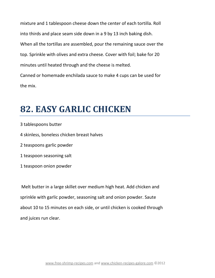mixture and 1 tablespoon cheese down the center of each tortilla. Roll into thirds and place seam side down in a 9 by 13 inch baking dish. When all the tortillas are assembled, pour the remaining sauce over the top. Sprinkle with olives and extra cheese. Cover with foil; bake for 20 minutes until heated through and the cheese is melted. Canned or homemade enchilada sauce to make 4 cups can be used for the mix.

#### <span id="page-23-0"></span>**82. EASY GARLIC CHICKEN**

3 tablespoons butter 4 skinless, boneless chicken breast halves 2 teaspoons garlic powder 1 teaspoon seasoning salt 1 teaspoon onion powder

Melt butter in a large skillet over medium high heat. Add chicken and sprinkle with garlic powder, seasoning salt and onion powder. Saute about 10 to 15 minutes on each side, or until chicken is cooked through and juices run clear.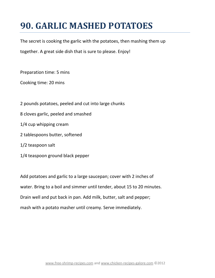## <span id="page-24-0"></span>**90. GARLIC MASHED POTATOES**

The secret is cooking the garlic with the potatoes, then mashing them up

together. A great side dish that is sure to please. Enjoy!

Preparation time: 5 mins

Cooking time: 20 mins

- 2 pounds potatoes, peeled and cut into large chunks
- 8 cloves garlic, peeled and smashed
- 1/4 cup whipping cream
- 2 tablespoons butter, softened
- 1/2 teaspoon salt
- 1/4 teaspoon ground black pepper

Add potatoes and garlic to a large saucepan; cover with 2 inches of water. Bring to a boil and simmer until tender, about 15 to 20 minutes. Drain well and put back in pan. Add milk, butter, salt and pepper; mash with a potato masher until creamy. Serve immediately.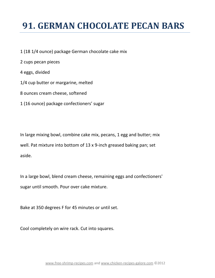## <span id="page-25-0"></span>**91. GERMAN CHOCOLATE PECAN BARS**

- 1 (18 1/4 ounce) package German chocolate cake mix
- 2 cups pecan pieces
- 4 eggs, divided
- 1/4 cup butter or margarine, melted
- 8 ounces cream cheese, softened
- 1 (16 ounce) package confectioners' sugar

In large mixing bowl, combine cake mix, pecans, 1 egg and butter; mix well. Pat mixture into bottom of 13 x 9-inch greased baking pan; set aside.

In a large bowl, blend cream cheese, remaining eggs and confectioners' sugar until smooth. Pour over cake mixture.

Bake at 350 degrees F for 45 minutes or until set.

Cool completely on wire rack. Cut into squares.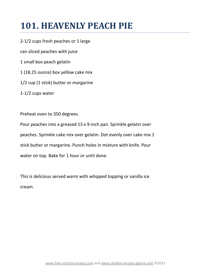## <span id="page-26-0"></span>**101. HEAVENLY PEACH PIE**

2-1/2 cups fresh peaches or 1 large can sliced peaches with juice 1 small box peach gelatin 1 (18.25 ounce) box yellow cake mix 1/2 cup (1 stick) butter or margarine 1-1/2 cups water

Preheat oven to 350 degrees.

Pour peaches into a greased 13 x 9-inch pan. Sprinkle gelatin over peaches. Sprinkle cake mix over gelatin. Dot evenly over cake mix 1 stick butter or margarine. Punch holes in mixture with knife. Pour water on top. Bake for 1 hour or until done.

This is delicious served warm with whipped topping or vanilla ice cream.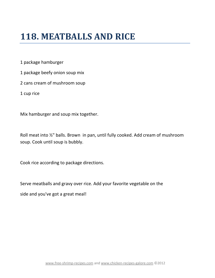#### <span id="page-27-0"></span>**118. MEATBALLS AND RICE**

1 package hamburger

1 package beefy onion soup mix

2 cans cream of mushroom soup

1 cup rice

Mix hamburger and soup mix together.

Roll meat into ½" balls. Brown in pan, until fully cooked. Add cream of mushroom soup. Cook until soup is bubbly.

Cook rice according to package directions.

Serve meatballs and gravy over rice. Add your favorite vegetable on the

side and you've got a great meal!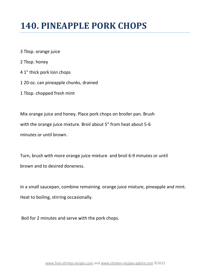#### <span id="page-28-0"></span>**140. PINEAPPLE PORK CHOPS**

- 3 Tbsp. orange juice
- 2 Tbsp. honey
- 4 1" thick pork loin chops
- 1 20-oz. can pineapple chunks, drained
- 1 Tbsp. chopped fresh mint

Mix orange juice and honey. Place pork chops on broiler pan. Brush with the orange juice mixture. Broil about 5" from heat about 5-6 minutes or until brown.

Turn, brush with more orange juice mixture and broil 6-9 minutes or until brown and to desired doneness.

In a small saucepan, combine remaining orange juice mixture, pineapple and mint. Heat to boiling, stirring occasionally.

Boil for 2 minutes and serve with the pork chops.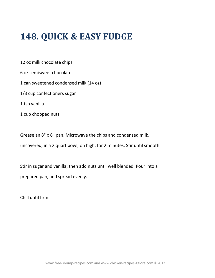#### <span id="page-29-0"></span>**148. QUICK & EASY FUDGE**

12 oz milk chocolate chips

6 oz semisweet chocolate

1 can sweetened condensed milk (14 oz)

1/3 cup confectioners sugar

1 tsp vanilla

1 cup chopped nuts

Grease an 8" x 8" pan. Microwave the chips and condensed milk,

uncovered, in a 2 quart bowl, on high, for 2 minutes. Stir until smooth.

Stir in sugar and vanilla; then add nuts until well blended. Pour into a prepared pan, and spread evenly.

Chill until firm.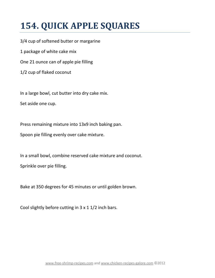## <span id="page-30-0"></span>**154. QUICK APPLE SQUARES**

3/4 cup of softened butter or margarine 1 package of white cake mix One 21 ounce can of apple pie filling 1/2 cup of flaked coconut

In a large bowl, cut butter into dry cake mix.

Set aside one cup.

Press remaining mixture into 13x9 inch baking pan.

Spoon pie filling evenly over cake mixture.

In a small bowl, combine reserved cake mixture and coconut.

Sprinkle over pie filling.

Bake at 350 degrees for 45 minutes or until golden brown.

Cool slightly before cutting in 3 x 1 1/2 inch bars.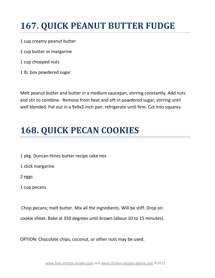## <span id="page-31-0"></span>**167. QUICK PEANUT BUTTER FUDGE**

1 cup creamy peanut butter

- 1 cup butter or margarine
- 1 cup chopped nuts
- 1 lb. box powdered sugar

Melt peanut butter and butter in a medium saucepan, stirring constantly. Add nuts and stir to combine. Remove from heat and sift in powdered sugar, stirring until well blended. Pat out in a 9x9x2-inch pan; refrigerate until firm. Cut into squares.

#### <span id="page-31-1"></span>**168. QUICK PECAN COOKIES**

- 1 pkg. Duncan Hines butter recipe cake mix
- 1 stick margarine
- 2 eggs
- 1 cup pecans

Chop pecans; melt butter. Mix all the ingredients. Will be stiff. Drop on

cookie sheet. Bake at 350 degrees until brown (about 10 to 15 minutes).

OPTION: Chocolate chips, coconut, or other nuts may be used.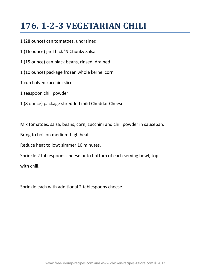#### <span id="page-32-0"></span>**176. 1-2-3 VEGETARIAN CHILI**

- 1 (28 ounce) can tomatoes, undrained
- 1 (16 ounce) jar Thick 'N Chunky Salsa
- 1 (15 ounce) can black beans, rinsed, drained
- 1 (10 ounce) package frozen whole kernel corn
- 1 cup halved zucchini slices
- 1 teaspoon chili powder
- 1 (8 ounce) package shredded mild Cheddar Cheese

Mix tomatoes, salsa, beans, corn, zucchini and chili powder in saucepan.

Bring to boil on medium-high heat.

Reduce heat to low; simmer 10 minutes.

Sprinkle 2 tablespoons cheese onto bottom of each serving bowl; top

with chili.

Sprinkle each with additional 2 tablespoons cheese.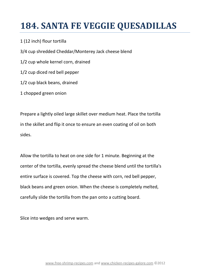## <span id="page-33-0"></span>**184. SANTA FE VEGGIE QUESADILLAS**

#### 1 (12 inch) flour tortilla

3/4 cup shredded Cheddar/Monterey Jack cheese blend 1/2 cup whole kernel corn, drained 1/2 cup diced red bell pepper 1/2 cup black beans, drained 1 chopped green onion

Prepare a lightly oiled large skillet over medium heat. Place the tortilla in the skillet and flip it once to ensure an even coating of oil on both sides.

Allow the tortilla to heat on one side for 1 minute. Beginning at the center of the tortilla, evenly spread the cheese blend until the tortilla's entire surface is covered. Top the cheese with corn, red bell pepper, black beans and green onion. When the cheese is completely melted, carefully slide the tortilla from the pan onto a cutting board.

Slice into wedges and serve warm.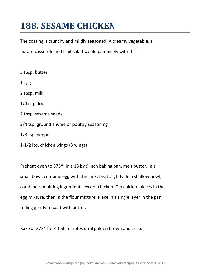## <span id="page-34-0"></span>**188. SESAME CHICKEN**

The coating is crunchy and mildly seasoned. A creamy vegetable, a

potato casserole and fruit salad would pair nicely with this.

- 3 tbsp. butter 1 egg 2 tbsp. milk 1/4 cup flour 2 tbsp. sesame seeds 3/4 tsp. ground Thyme or poultry seasoning 1/8 tsp. pepper
- 1-1/2 lbs. chicken wings (8 wings)

Preheat oven to 375\*. In a 13 by 9 inch baking pan, melt butter. In a small bowl, combine egg with the milk; beat slightly. In a shallow bowl, combine remaining ingredients except chicken. Dip chicken pieces in the egg mixture, then in the flour mixture. Place in a single layer in the pan, rolling gently to coat with butter.

Bake at 375\* for 40-50 minutes until golden brown and crisp.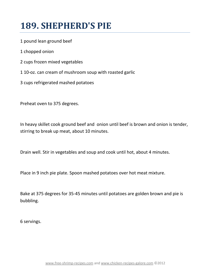## <span id="page-35-0"></span>**189. SHEPHERD'S PIE**

- 1 pound lean ground beef
- 1 chopped onion
- 2 cups frozen mixed vegetables
- 1 10-oz. can cream of mushroom soup with roasted garlic
- 3 cups refrigerated mashed potatoes

Preheat oven to 375 degrees.

In heavy skillet cook ground beef and onion until beef is brown and onion is tender, stirring to break up meat, about 10 minutes.

Drain well. Stir in vegetables and soup and cook until hot, about 4 minutes.

Place in 9 inch pie plate. Spoon mashed potatoes over hot meat mixture.

Bake at 375 degrees for 35-45 minutes until potatoes are golden brown and pie is bubbling.

6 servings.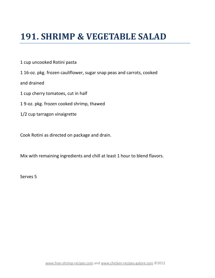#### <span id="page-36-0"></span>**191. SHRIMP & VEGETABLE SALAD**

1 cup uncooked Rotini pasta

1 16-oz. pkg. frozen cauliflower, sugar snap peas and carrots, cooked

and drained

- 1 cup cherry tomatoes, cut in half
- 1 9-oz. pkg. frozen cooked shrimp, thawed
- 1/2 cup tarragon vinaigrette

Cook Rotini as directed on package and drain.

Mix with remaining ingredients and chill at least 1 hour to blend flavors.

Serves 5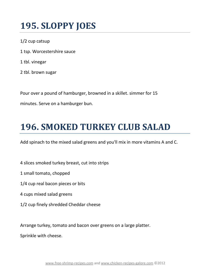### <span id="page-37-0"></span>**195. SLOPPY JOES**

- 1/2 cup catsup
- 1 tsp. Worcestershire sauce
- 1 tbl. vinegar
- 2 tbl. brown sugar

Pour over a pound of hamburger, browned in a skillet. simmer for 15

minutes. Serve on a hamburger bun.

#### <span id="page-37-1"></span>**196. SMOKED TURKEY CLUB SALAD**

Add spinach to the mixed salad greens and you'll mix in more vitamins A and C.

- 4 slices smoked turkey breast, cut into strips
- 1 small tomato, chopped
- 1/4 cup real bacon pieces or bits
- 4 cups mixed salad greens
- 1/2 cup finely shredded Cheddar cheese

Arrange turkey, tomato and bacon over greens on a large platter.

Sprinkle with cheese.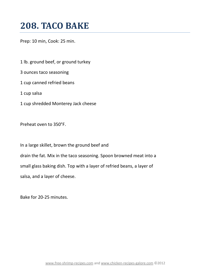#### <span id="page-38-0"></span>**208. TACO BAKE**

Prep: 10 min, Cook: 25 min.

1 lb. ground beef, or ground turkey 3 ounces taco seasoning

1 cup canned refried beans

1 cup salsa

1 cup shredded Monterey Jack cheese

Preheat oven to 350°F.

In a large skillet, brown the ground beef and drain the fat. Mix in the taco seasoning. Spoon browned meat into a small glass baking dish. Top with a layer of refried beans, a layer of salsa, and a layer of cheese.

Bake for 20-25 minutes.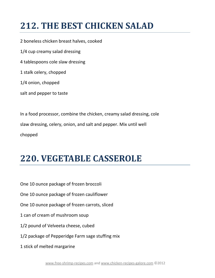## <span id="page-39-0"></span>**212. THE BEST CHICKEN SALAD**

2 boneless chicken breast halves, cooked 1/4 cup creamy salad dressing 4 tablespoons cole slaw dressing 1 stalk celery, chopped 1/4 onion, chopped salt and pepper to taste

In a food processor, combine the chicken, creamy salad dressing, cole slaw dressing, celery, onion, and salt and pepper. Mix until well chopped

#### <span id="page-39-1"></span>**220. VEGETABLE CASSEROLE**

One 10 ounce package of frozen broccoli

One 10 ounce package of frozen cauliflower

One 10 ounce package of frozen carrots, sliced

- 1 can of cream of mushroom soup
- 1/2 pound of Velveeta cheese, cubed
- 1/2 package of Pepperidge Farm sage stuffing mix

1 stick of melted margarine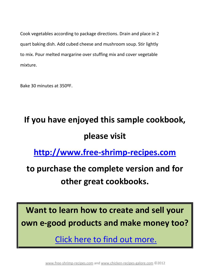Cook vegetables according to package directions. Drain and place in 2 quart baking dish. Add cubed cheese and mushroom soup. Stir lightly to mix. Pour melted margarine over stuffing mix and cover vegetable mixture.

Bake 30 minutes at 350ºF.

# **If you have enjoyed this sample cookbook, please visit**

**[http://www.free-shrimp-recipes.com](http://www.free-shrimp-recipes.com/cookbooks.html)**

#### **to purchase the complete version and for other great cookbooks.**

**Want to learn how to create and sell your own e-good products and make money too?**

[Click here to find out more.](http://egoods.sitesell.com/Bethany0.html)